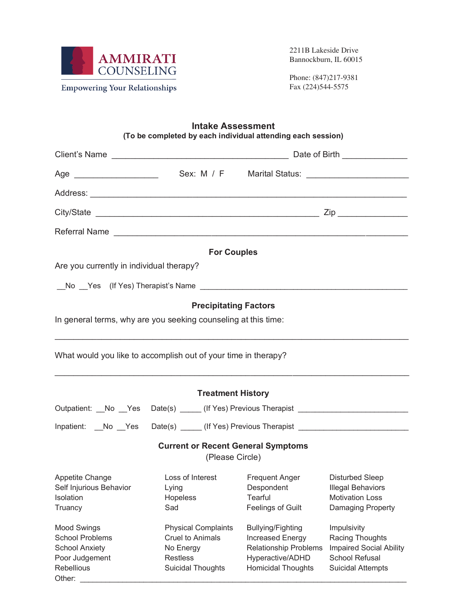

Other:

2211B Lakeside Drive Bannockburn, IL 60015

Phone: (847)217-9381 Fax (224)544-5575

## **Intake Assessment (To be completed by each individual attending each session)**

|                                                                                                                                                                                                                               | <b>For Couples</b>                                                                                                |                                                                                                                               |                                                                                                                |
|-------------------------------------------------------------------------------------------------------------------------------------------------------------------------------------------------------------------------------|-------------------------------------------------------------------------------------------------------------------|-------------------------------------------------------------------------------------------------------------------------------|----------------------------------------------------------------------------------------------------------------|
| Are you currently in individual therapy?                                                                                                                                                                                      |                                                                                                                   |                                                                                                                               |                                                                                                                |
| No Yes (If Yes) Therapist's Name that the control of the control of the control of the control of the control of the control of the control of the control of the control of the control of the control of the control of the |                                                                                                                   |                                                                                                                               |                                                                                                                |
|                                                                                                                                                                                                                               | <b>Precipitating Factors</b>                                                                                      |                                                                                                                               |                                                                                                                |
| In general terms, why are you seeking counseling at this time:                                                                                                                                                                |                                                                                                                   |                                                                                                                               |                                                                                                                |
| What would you like to accomplish out of your time in therapy?                                                                                                                                                                |                                                                                                                   |                                                                                                                               |                                                                                                                |
|                                                                                                                                                                                                                               | <b>Treatment History</b>                                                                                          |                                                                                                                               |                                                                                                                |
| Outpatient: No Yes Date(s) (If Yes) Previous Therapist (Note 1, 2008)                                                                                                                                                         |                                                                                                                   |                                                                                                                               |                                                                                                                |
| Inpatient: No Yes Date(s) (If Yes) Previous Therapist (Note 1, 1992)                                                                                                                                                          |                                                                                                                   |                                                                                                                               |                                                                                                                |
|                                                                                                                                                                                                                               | <b>Current or Recent General Symptoms</b><br>(Please Circle)                                                      |                                                                                                                               |                                                                                                                |
| Appetite Change<br>Self Injurious Behavior<br>Isolation<br>Sad<br>Truancy                                                                                                                                                     | Lying<br>Hopeless                                                                                                 | Loss of Interest Frequent Anger<br>Despondent<br>Tearful<br>Feelings of Guilt                                                 | <b>Disturbed Sleep</b><br><b>Illegal Behaviors</b><br><b>Motivation Loss</b><br>Damaging Property              |
| <b>Mood Swings</b><br><b>School Problems</b><br><b>School Anxiety</b><br>Poor Judgement<br>Rebellious                                                                                                                         | <b>Physical Complaints</b><br><b>Cruel to Animals</b><br>No Energy<br><b>Restless</b><br><b>Suicidal Thoughts</b> | <b>Bullying/Fighting</b><br>Increased Energy<br><b>Relationship Problems</b><br>Hyperactive/ADHD<br><b>Homicidal Thoughts</b> | Impulsivity<br>Racing Thoughts<br><b>Impaired Social Ability</b><br>School Refusal<br><b>Suicidal Attempts</b> |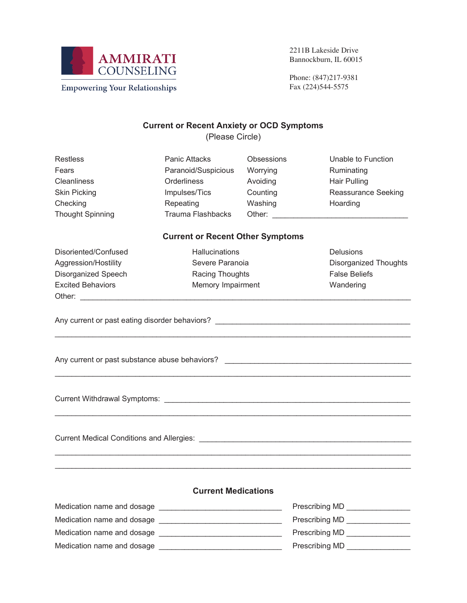

2211B Lakeside Drive Bannockburn, IL 60015

**Empowering Your Relationships** 

Phone: (847)217-9381 Fax (224)544-5575

## **Current or Recent Anxiety or OCD Symptoms**

(Please Circle)

| <b>Restless</b>         | <b>Panic Attacks</b> | <b>Obsessions</b> | Unable to Function         |
|-------------------------|----------------------|-------------------|----------------------------|
| Fears                   | Paranoid/Suspicious  | Worrying          | Ruminating                 |
| <b>Cleanliness</b>      | <b>Orderliness</b>   | Avoiding          | Hair Pulling               |
| <b>Skin Picking</b>     | Impulses/Tics        | Counting          | <b>Reassurance Seeking</b> |
| Checking                | Repeating            | Washing           | Hoarding                   |
| <b>Thought Spinning</b> | Trauma Flashbacks    | Other:            |                            |
|                         |                      |                   |                            |

## **Current or Recent Other Symptoms**

\_\_\_\_\_\_\_\_\_\_\_\_\_\_\_\_\_\_\_\_\_\_\_\_\_\_\_\_\_\_\_\_\_\_\_\_\_\_\_\_\_\_\_\_\_\_\_\_\_\_\_\_\_\_\_\_\_\_\_\_\_\_\_\_\_\_\_\_\_\_\_\_\_\_\_\_\_\_\_\_\_\_\_\_

\_\_\_\_\_\_\_\_\_\_\_\_\_\_\_\_\_\_\_\_\_\_\_\_\_\_\_\_\_\_\_\_\_\_\_\_\_\_\_\_\_\_\_\_\_\_\_\_\_\_\_\_\_\_\_\_\_\_\_\_\_\_\_\_\_\_\_\_\_\_\_\_\_\_\_\_\_\_\_\_\_\_\_\_

\_\_\_\_\_\_\_\_\_\_\_\_\_\_\_\_\_\_\_\_\_\_\_\_\_\_\_\_\_\_\_\_\_\_\_\_\_\_\_\_\_\_\_\_\_\_\_\_\_\_\_\_\_\_\_\_\_\_\_\_\_\_\_\_\_\_\_\_\_\_\_\_\_\_\_\_\_\_\_\_\_\_\_\_

\_\_\_\_\_\_\_\_\_\_\_\_\_\_\_\_\_\_\_\_\_\_\_\_\_\_\_\_\_\_\_\_\_\_\_\_\_\_\_\_\_\_\_\_\_\_\_\_\_\_\_\_\_\_\_\_\_\_\_\_\_\_\_\_\_\_\_\_\_\_\_\_\_\_\_\_\_\_\_\_\_\_\_\_ \_\_\_\_\_\_\_\_\_\_\_\_\_\_\_\_\_\_\_\_\_\_\_\_\_\_\_\_\_\_\_\_\_\_\_\_\_\_\_\_\_\_\_\_\_\_\_\_\_\_\_\_\_\_\_\_\_\_\_\_\_\_\_\_\_\_\_\_\_\_\_\_\_\_\_\_\_\_\_\_\_\_\_\_

Disoriented/Confused Hallucinations Delusions Aggression/Hostility **Severe Paranoia** Disorganized Thoughts Disorganized Speech Racing Thoughts False Beliefs Excited Behaviors **Memory Impairment** Mandering Wandering Other: \_\_\_\_\_\_\_\_\_\_\_\_\_\_\_\_\_\_\_\_\_\_\_\_\_\_\_\_\_\_\_\_\_\_\_\_\_\_\_\_\_\_\_\_\_\_\_\_\_\_\_\_\_\_\_\_\_\_\_\_\_\_\_\_\_\_\_\_\_\_\_\_\_\_\_\_\_\_

Any current or past eating disorder behaviors? \_\_\_\_\_\_\_\_\_\_\_\_\_\_\_\_\_\_\_\_\_\_\_\_\_\_\_\_\_\_\_\_\_\_

Any current or past substance abuse behaviors? \_\_\_\_\_\_\_\_\_\_\_\_\_\_\_\_\_\_\_\_\_\_\_\_\_\_\_\_\_\_\_\_\_\_\_\_\_\_\_\_\_\_\_\_

Current Withdrawal Symptoms: \_\_\_\_\_\_\_\_\_\_\_\_\_\_\_\_\_\_\_\_\_\_\_\_\_\_\_\_\_\_\_\_\_\_\_\_\_\_\_\_\_\_\_\_\_\_\_\_\_\_\_\_\_\_\_\_\_\_

Current Medical Conditions and Allergies: \_\_\_\_\_\_\_\_\_\_\_\_\_\_\_\_\_\_\_\_\_\_\_\_\_\_\_\_\_\_\_\_\_\_\_\_\_\_\_\_\_\_\_\_\_\_\_\_\_\_

## **Current Medications**

| Medication name and dosage | Prescribing MD |
|----------------------------|----------------|
| Medication name and dosage | Prescribing MD |
| Medication name and dosage | Prescribing MD |
| Medication name and dosage | Prescribing MD |
|                            |                |